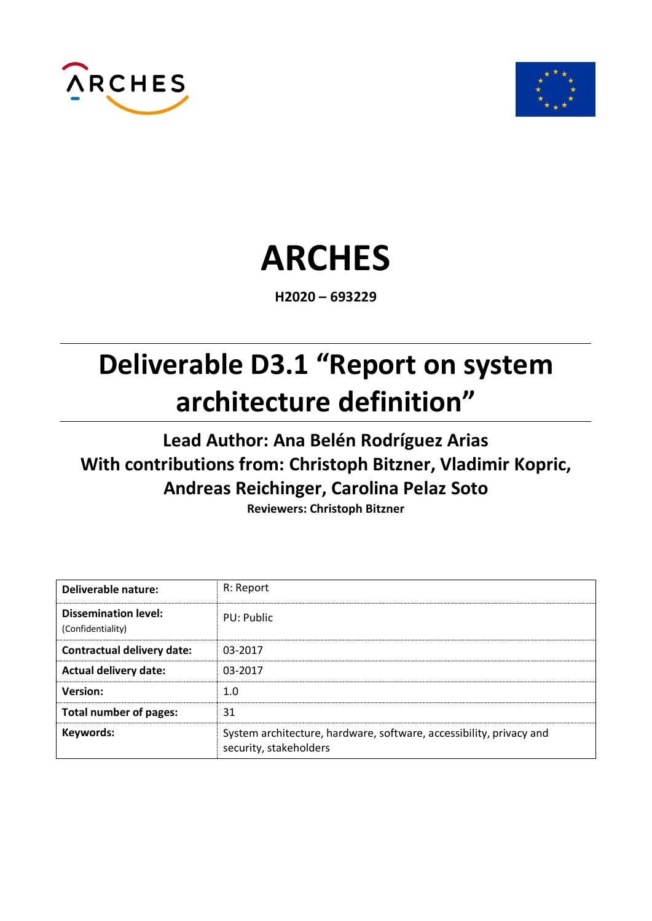



# **ARCHES**

**H2020 – 693229**

# **Deliverable D3.1 "Report on system architecture definition"**

# **Lead Author: Ana Belén Rodríguez Arias With contributions from: Christoph Bitzner, Vladimir Kopric, Andreas Reichinger, Carolina Pelaz Soto**

**Reviewers: Christoph Bitzner**

| <b>Deliverable nature:</b>                       | R: Report                                                                                     |
|--------------------------------------------------|-----------------------------------------------------------------------------------------------|
| <b>Dissemination level:</b><br>(Confidentiality) | PU: Public                                                                                    |
| <b>Contractual delivery date:</b>                | 03-2017                                                                                       |
| <b>Actual delivery date:</b>                     | 03-2017                                                                                       |
| <b>Version:</b>                                  | 1.0                                                                                           |
| <b>Total number of pages:</b>                    | 31                                                                                            |
| Keywords:                                        | System architecture, hardware, software, accessibility, privacy and<br>security, stakeholders |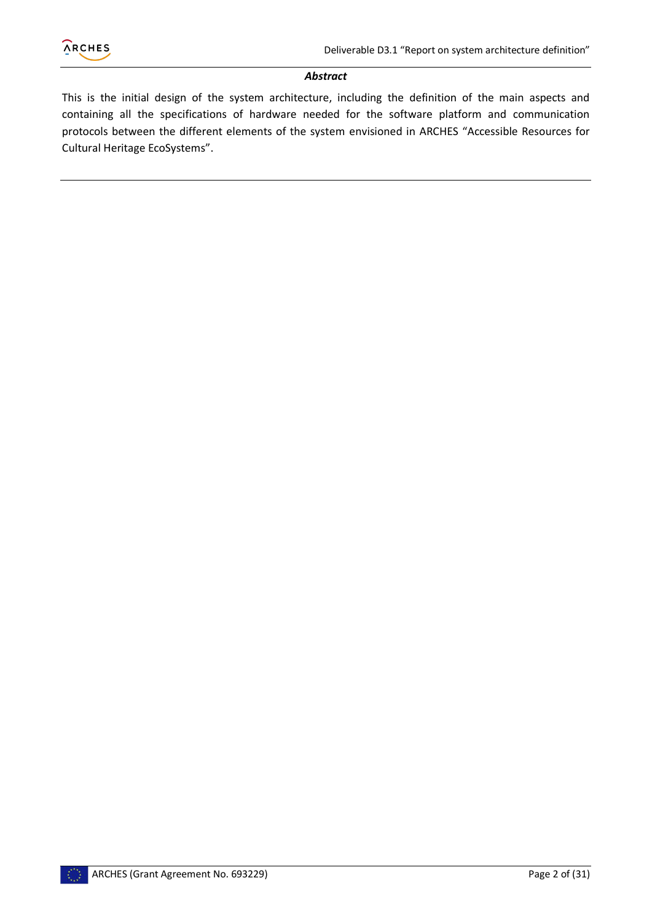

#### *Abstract*

This is the initial design of the system architecture, including the definition of the main aspects and containing all the specifications of hardware needed for the software platform and communication protocols between the different elements of the system envisioned in ARCHES "Accessible Resources for Cultural Heritage EcoSystems".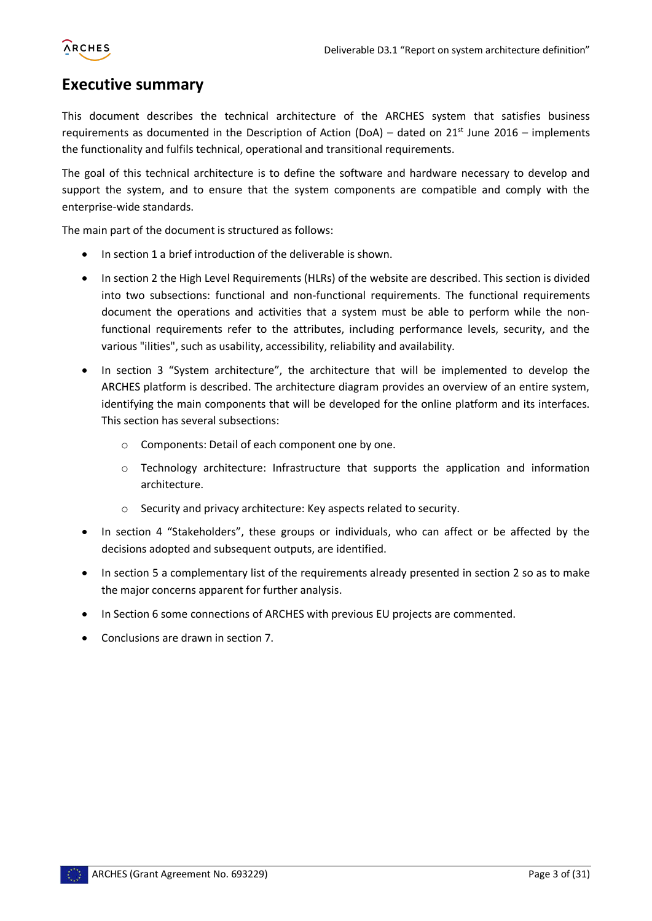

### <span id="page-2-0"></span>**Executive summary**

This document describes the technical architecture of the ARCHES system that satisfies business requirements as documented in the Description of Action (DoA) – dated on  $21<sup>st</sup>$  June 2016 – implements the functionality and fulfils technical, operational and transitional requirements.

The goal of this technical architecture is to define the software and hardware necessary to develop and support the system, and to ensure that the system components are compatible and comply with the enterprise-wide standards.

The main part of the document is structured as follows:

- In section 1 a brief introduction of the deliverable is shown.
- In section 2 the High Level Requirements (HLRs) of the website are described. This section is divided into two subsections: functional and non-functional requirements. The functional requirements document the operations and activities that a system must be able to perform while the nonfunctional requirements refer to the attributes, including performance levels, security, and the various "ilities", such as usability, accessibility, reliability and availability.
- In section 3 "System architecture", the architecture that will be implemented to develop the ARCHES platform is described. The architecture diagram provides an overview of an entire system, identifying the main components that will be developed for the online platform and its interfaces. This section has several subsections:
	- o Components: Detail of each component one by one.
	- o Technology architecture: Infrastructure that supports the application and information architecture.
	- o Security and privacy architecture: Key aspects related to security.
- In section 4 "Stakeholders", these groups or individuals, who can affect or be affected by the decisions adopted and subsequent outputs, are identified.
- In section 5 a complementary list of the requirements already presented in section 2 so as to make the major concerns apparent for further analysis.
- In Section 6 some connections of ARCHES with previous EU projects are commented.
- Conclusions are drawn in section 7.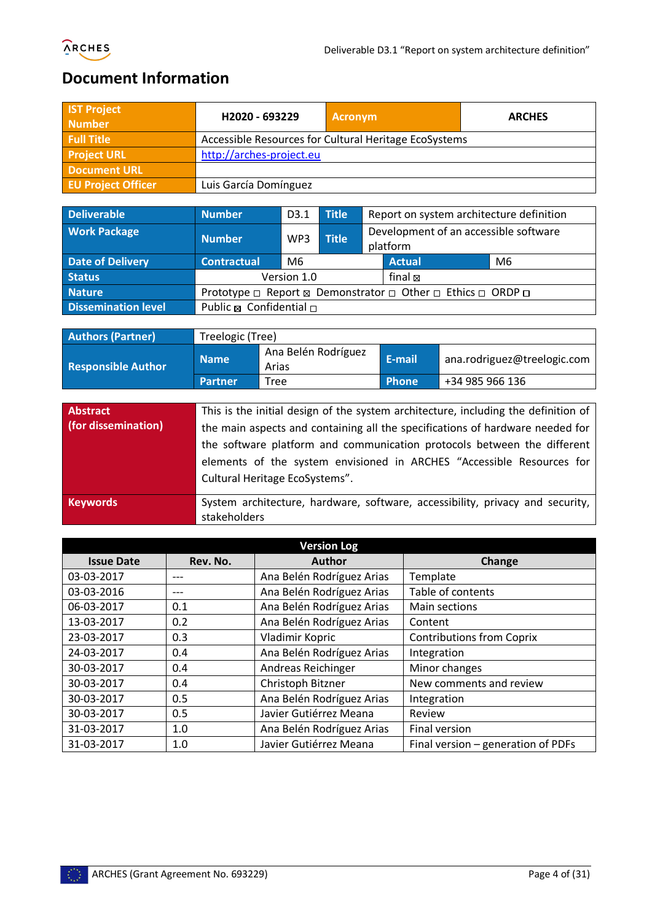

# <span id="page-3-0"></span>**Document Information**

| <b>IST Project</b><br><b>Number</b> | H2020 - 693229           | <b>Acronym</b>                                        | <b>ARCHES</b> |
|-------------------------------------|--------------------------|-------------------------------------------------------|---------------|
| <b>Full Title</b>                   |                          | Accessible Resources for Cultural Heritage EcoSystems |               |
| <b>Project URL</b>                  | http://arches-project.eu |                                                       |               |
| <b>Document URL</b>                 |                          |                                                       |               |
| <b>EU Project Officer</b>           | Luis García Domínguez    |                                                       |               |

| <b>Deliverable</b>                                                      | <b>Number</b>           | D <sub>3.1</sub>                                  | Title |  | Report on system architecture definition                    |    |
|-------------------------------------------------------------------------|-------------------------|---------------------------------------------------|-------|--|-------------------------------------------------------------|----|
| <b>Work Package</b><br><b>Title</b><br><b>Number</b><br>WP <sub>3</sub> |                         | Development of an accessible software<br>platform |       |  |                                                             |    |
| <b>Date of Delivery</b>                                                 | <b>Contractual</b>      | M <sub>6</sub>                                    |       |  | <b>Actual</b>                                               | M6 |
| <b>Status</b>                                                           |                         | Version 1.0                                       |       |  | final ⊠                                                     |    |
| <b>Nature</b>                                                           |                         |                                                   |       |  | Prototype □ Report & Demonstrator □ Other □ Ethics □ ORDP □ |    |
| <b>Dissemination level</b>                                              | Public ⊠ Confidential □ |                                                   |       |  |                                                             |    |

| <b>Authors (Partner)</b>  | Treelogic (Tree) |                              |        |                             |
|---------------------------|------------------|------------------------------|--------|-----------------------------|
| <b>Responsible Author</b> | <b>Name</b>      | Ana Belén Rodríguez<br>Arias | E-mail | ana.rodriguez@treelogic.com |
|                           | <b>Partner</b>   | Tree                         | Phone  | +34 985 966 136             |

| Abstract<br>(for dissemination) | This is the initial design of the system architecture, including the definition of<br>the main aspects and containing all the specifications of hardware needed for<br>the software platform and communication protocols between the different<br>elements of the system envisioned in ARCHES "Accessible Resources for<br>Cultural Heritage EcoSystems". |
|---------------------------------|-----------------------------------------------------------------------------------------------------------------------------------------------------------------------------------------------------------------------------------------------------------------------------------------------------------------------------------------------------------|
| <b>Keywords</b>                 | System architecture, hardware, software, accessibility, privacy and security,<br>stakeholders                                                                                                                                                                                                                                                             |

|                   |          | <b>Version Log</b>        |                                    |
|-------------------|----------|---------------------------|------------------------------------|
| <b>Issue Date</b> | Rev. No. | <b>Author</b>             | Change                             |
| 03-03-2017        | ---      | Ana Belén Rodríguez Arias | Template                           |
| 03-03-2016        | ---      | Ana Belén Rodríguez Arias | Table of contents                  |
| 06-03-2017        | 0.1      | Ana Belén Rodríguez Arias | Main sections                      |
| 13-03-2017        | 0.2      | Ana Belén Rodríguez Arias | Content                            |
| 23-03-2017        | 0.3      | Vladimir Kopric           | <b>Contributions from Coprix</b>   |
| 24-03-2017        | 0.4      | Ana Belén Rodríguez Arias | Integration                        |
| 30-03-2017        | 0.4      | Andreas Reichinger        | Minor changes                      |
| 30-03-2017        | 0.4      | Christoph Bitzner         | New comments and review            |
| 30-03-2017        | 0.5      | Ana Belén Rodríguez Arias | Integration                        |
| 30-03-2017        | 0.5      | Javier Gutiérrez Meana    | Review                             |
| 31-03-2017        | 1.0      | Ana Belén Rodríguez Arias | Final version                      |
| 31-03-2017        | 1.0      | Javier Gutiérrez Meana    | Final version - generation of PDFs |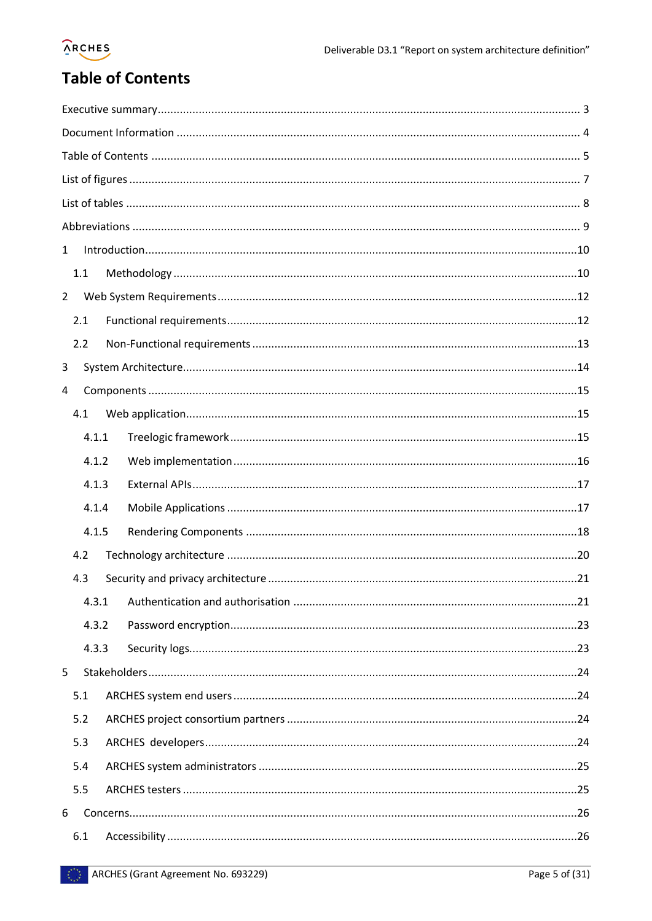# **ARCHES**

# <span id="page-4-0"></span>**Table of Contents**

| $\mathbf{1}$   |       |  |  |  |  |
|----------------|-------|--|--|--|--|
|                | 1.1   |  |  |  |  |
| $\overline{2}$ |       |  |  |  |  |
|                | 2.1   |  |  |  |  |
|                | 2.2   |  |  |  |  |
| 3              |       |  |  |  |  |
| 4              |       |  |  |  |  |
|                | 4.1   |  |  |  |  |
|                | 4.1.1 |  |  |  |  |
|                | 4.1.2 |  |  |  |  |
|                | 4.1.3 |  |  |  |  |
|                | 4.1.4 |  |  |  |  |
|                | 4.1.5 |  |  |  |  |
|                | 4.2   |  |  |  |  |
|                | 4.3   |  |  |  |  |
|                | 4.3.1 |  |  |  |  |
|                | 4.3.2 |  |  |  |  |
|                | 4.3.3 |  |  |  |  |
| 5              |       |  |  |  |  |
|                | 5.1   |  |  |  |  |
|                | 5.2   |  |  |  |  |
|                | 5.3   |  |  |  |  |
|                | 5.4   |  |  |  |  |
|                | 5.5   |  |  |  |  |
| 6              |       |  |  |  |  |
|                | 6.1   |  |  |  |  |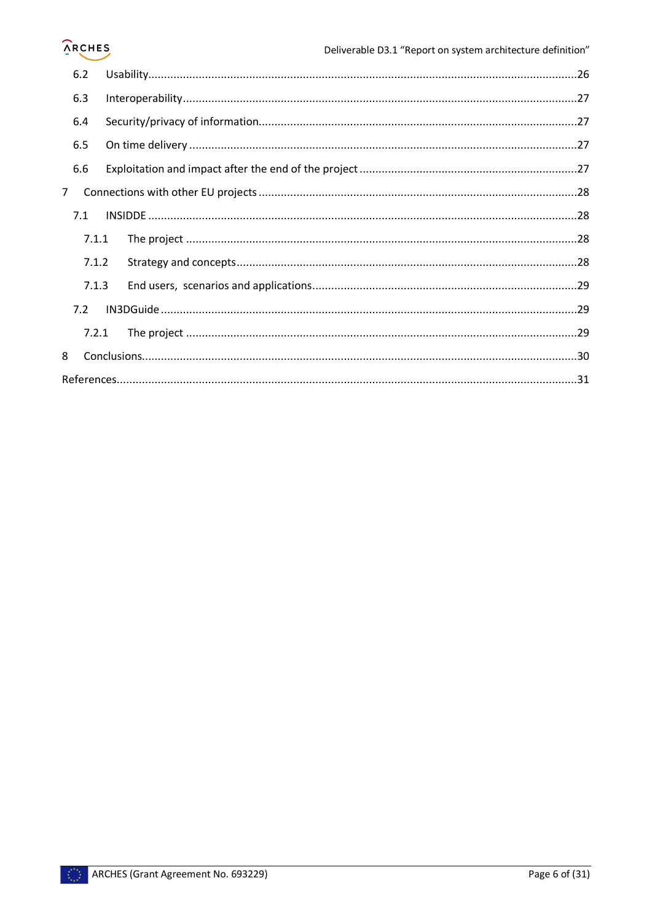# **ARCHES**

|             | 6.2   |  |  |
|-------------|-------|--|--|
|             | 6.3   |  |  |
|             | 6.4   |  |  |
|             | 6.5   |  |  |
|             | 6.6   |  |  |
| $7^{\circ}$ |       |  |  |
|             | 7.1   |  |  |
|             | 7.1.1 |  |  |
|             | 7.1.2 |  |  |
|             | 7.1.3 |  |  |
|             | 7.2   |  |  |
|             | 7.2.1 |  |  |
| 8           |       |  |  |
|             |       |  |  |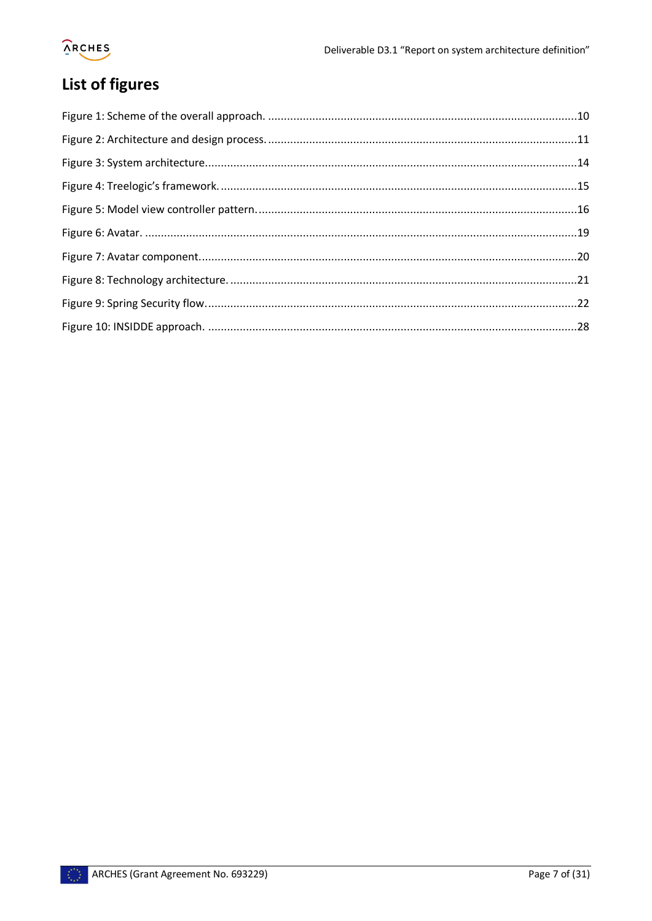# **ORCHES**

# <span id="page-6-0"></span>List of figures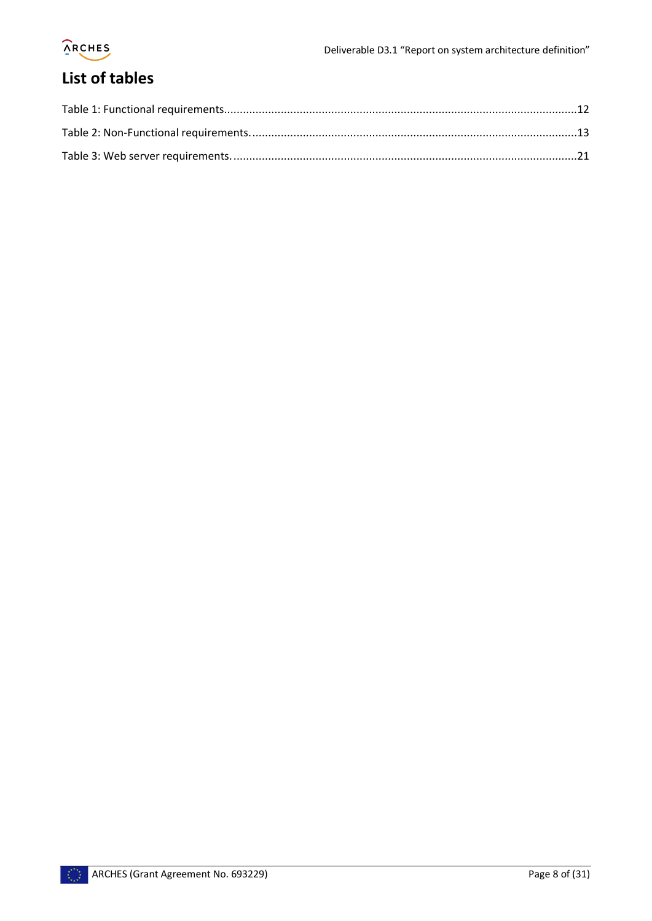

# <span id="page-7-0"></span>**List of tables**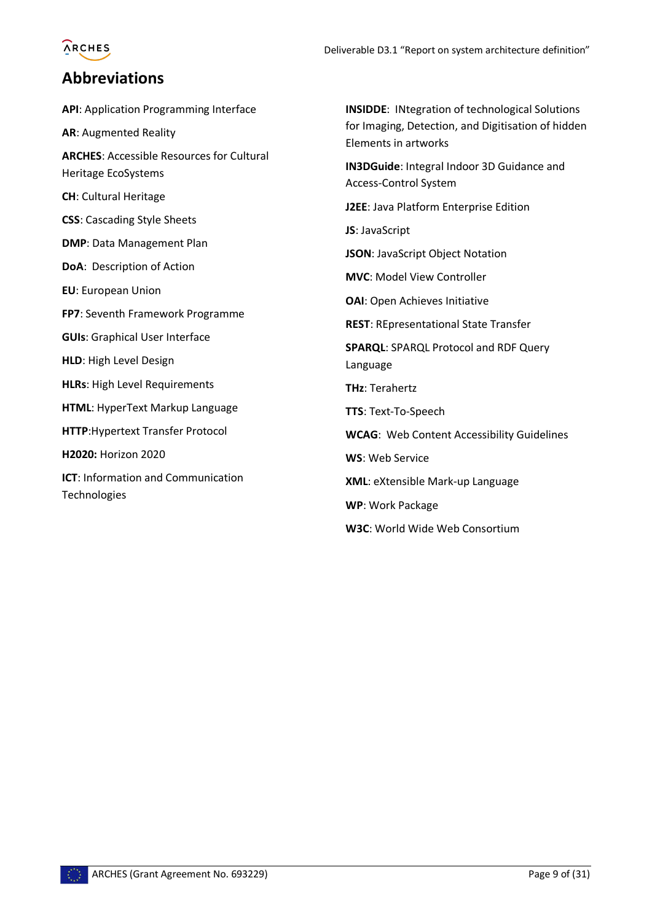# **ARCHES**

### <span id="page-8-0"></span>**Abbreviations**

**API**: Application Programming Interface **AR**: Augmented Reality **ARCHES**: Accessible Resources for Cultural Heritage EcoSystems **CH**: Cultural Heritage **CSS**: Cascading Style Sheets **DMP**: Data Management Plan **DoA**: Description of Action **EU**: European Union **FP7**: Seventh Framework Programme **GUIs**: Graphical User Interface **HLD**: High Level Design **HLRs**: High Level Requirements **HTML**: HyperText Markup Language **HTTP**:Hypertext Transfer Protocol **H2020:** Horizon 2020 **ICT**: Information and Communication Technologies

**INSIDDE**: INtegration of technological Solutions for Imaging, Detection, and Digitisation of hidden Elements in artworks **IN3DGuide**: Integral Indoor 3D Guidance and Access-Control System **J2EE**: Java Platform Enterprise Edition **JS**: JavaScript **JSON**: JavaScript Object Notation **MVC**: Model View Controller **OAI**: Open Achieves Initiative **REST**: REpresentational State Transfer **SPARQL**: SPARQL Protocol and RDF Query Language **THz**: Terahertz **TTS**: Text-To-Speech **WCAG**: Web Content Accessibility Guidelines **WS**: Web Service **XML**: eXtensible Mark-up Language **WP**: Work Package **W3C**: World Wide Web Consortium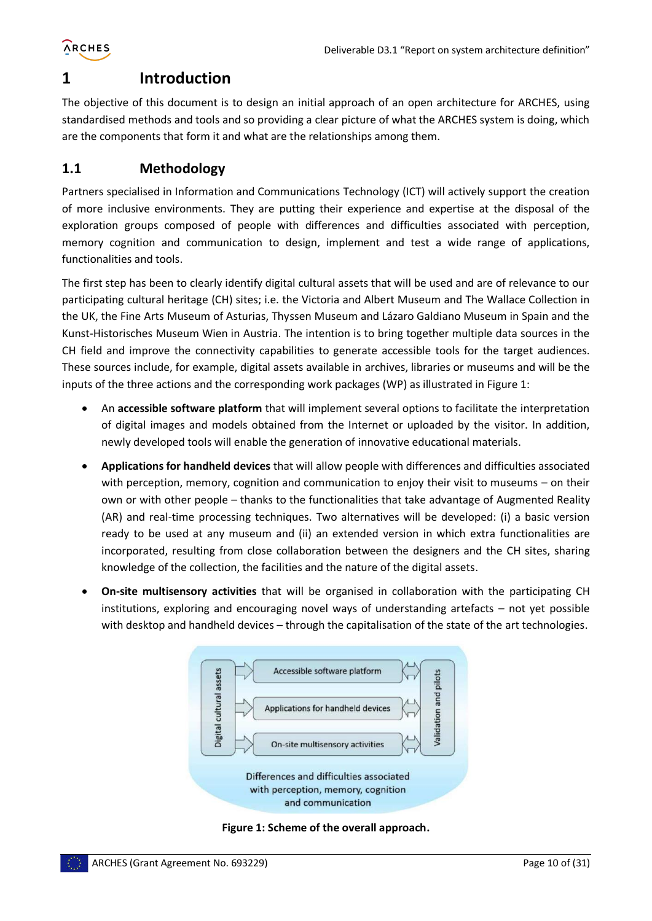

### <span id="page-9-0"></span>**1 Introduction**

The objective of this document is to design an initial approach of an open architecture for ARCHES, using standardised methods and tools and so providing a clear picture of what the ARCHES system is doing, which are the components that form it and what are the relationships among them.

#### <span id="page-9-1"></span>**1.1 Methodology**

Partners specialised in Information and Communications Technology (ICT) will actively support the creation of more inclusive environments. They are putting their experience and expertise at the disposal of the exploration groups composed of people with differences and difficulties associated with perception, memory cognition and communication to design, implement and test a wide range of applications, functionalities and tools.

The first step has been to clearly identify digital cultural assets that will be used and are of relevance to our participating cultural heritage (CH) sites; i.e. the Victoria and Albert Museum and The Wallace Collection in the UK, the Fine Arts Museum of Asturias, Thyssen Museum and Lázaro Galdiano Museum in Spain and the Kunst-Historisches Museum Wien in Austria. The intention is to bring together multiple data sources in the CH field and improve the connectivity capabilities to generate accessible tools for the target audiences. These sources include, for example, digital assets available in archives, libraries or museums and will be the inputs of the three actions and the corresponding work packages (WP) as illustrated in [Figure 1:](#page-9-2)

- An **accessible software platform** that will implement several options to facilitate the interpretation of digital images and models obtained from the Internet or uploaded by the visitor. In addition, newly developed tools will enable the generation of innovative educational materials.
- **Applications for handheld devices** that will allow people with differences and difficulties associated with perception, memory, cognition and communication to enjoy their visit to museums – on their own or with other people – thanks to the functionalities that take advantage of Augmented Reality (AR) and real-time processing techniques. Two alternatives will be developed: (i) a basic version ready to be used at any museum and (ii) an extended version in which extra functionalities are incorporated, resulting from close collaboration between the designers and the CH sites, sharing knowledge of the collection, the facilities and the nature of the digital assets.
- **On-site multisensory activities** that will be organised in collaboration with the participating CH institutions, exploring and encouraging novel ways of understanding artefacts – not yet possible with desktop and handheld devices – through the capitalisation of the state of the art technologies.



<span id="page-9-2"></span>**Figure 1: Scheme of the overall approach.**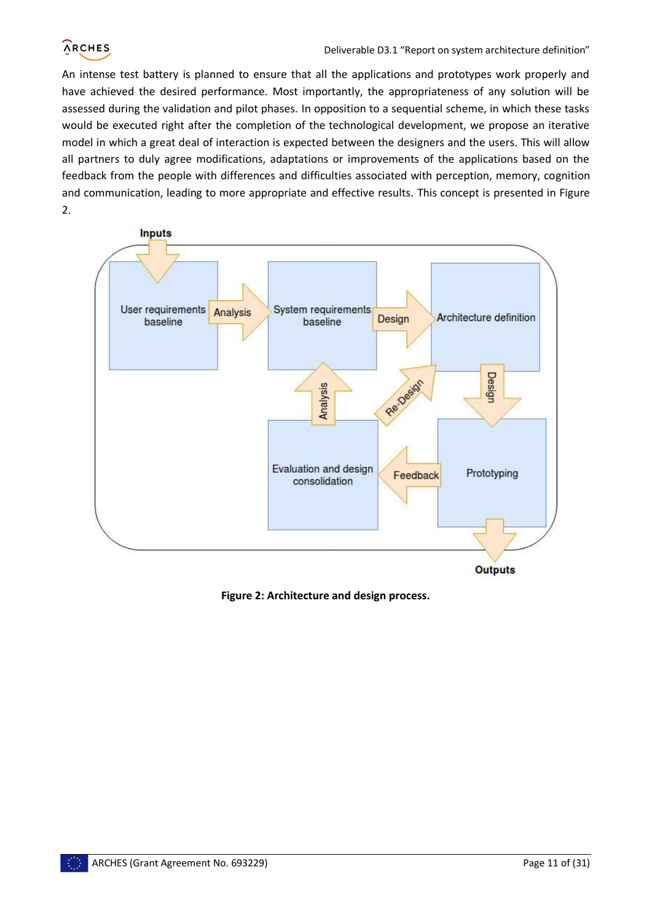An intense test battery is planned to ensure that all the applications and prototypes work properly and have achieved the desired performance. Most importantly, the appropriateness of any solution will be assessed during the validation and pilot phases. In opposition to a sequential scheme, in which these tasks would be executed right after the completion of the technological development, we propose an iterative model in which a great deal of interaction is expected between the designers and the users. This will allow all partners to duly agree modifications, adaptations or improvements of the applications based on the feedback from the people with differences and difficulties associated with perception, memory, cognition and communication, leading to more appropriate and effective results. This concept is presented in [Figure](#page-10-0)  [2.](#page-10-0)



**Outputs** 

<span id="page-10-0"></span>**Figure 2: Architecture and design process.**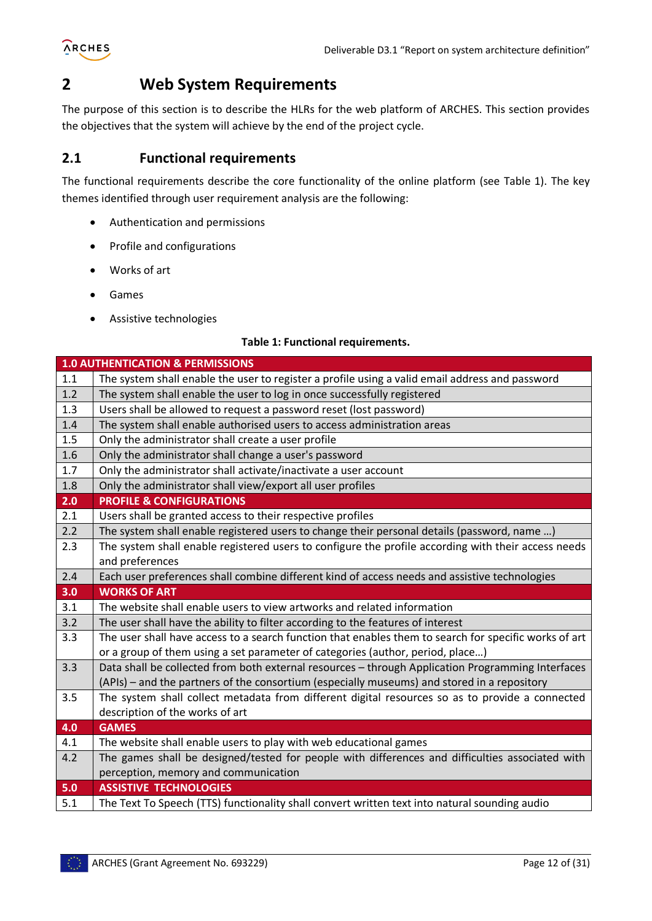

### <span id="page-11-0"></span>**2 Web System Requirements**

The purpose of this section is to describe the HLRs for the web platform of ARCHES. This section provides the objectives that the system will achieve by the end of the project cycle.

#### <span id="page-11-1"></span>**2.1 Functional requirements**

The functional requirements describe the core functionality of the online platform (see [Table 1\)](#page-11-2). The key themes identified through user requirement analysis are the following:

- Authentication and permissions
- Profile and configurations
- Works of art
- Games
- Assistive technologies

#### **Table 1: Functional requirements.**

<span id="page-11-2"></span>

|     | <b>1.0 AUTHENTICATION &amp; PERMISSIONS</b>                                                           |
|-----|-------------------------------------------------------------------------------------------------------|
| 1.1 | The system shall enable the user to register a profile using a valid email address and password       |
| 1.2 | The system shall enable the user to log in once successfully registered                               |
| 1.3 | Users shall be allowed to request a password reset (lost password)                                    |
| 1.4 | The system shall enable authorised users to access administration areas                               |
| 1.5 | Only the administrator shall create a user profile                                                    |
| 1.6 | Only the administrator shall change a user's password                                                 |
| 1.7 | Only the administrator shall activate/inactivate a user account                                       |
| 1.8 | Only the administrator shall view/export all user profiles                                            |
| 2.0 | <b>PROFILE &amp; CONFIGURATIONS</b>                                                                   |
| 2.1 | Users shall be granted access to their respective profiles                                            |
| 2.2 | The system shall enable registered users to change their personal details (password, name )           |
| 2.3 | The system shall enable registered users to configure the profile according with their access needs   |
|     | and preferences                                                                                       |
| 2.4 | Each user preferences shall combine different kind of access needs and assistive technologies         |
| 3.0 | <b>WORKS OF ART</b>                                                                                   |
| 3.1 | The website shall enable users to view artworks and related information                               |
| 3.2 | The user shall have the ability to filter according to the features of interest                       |
| 3.3 | The user shall have access to a search function that enables them to search for specific works of art |
|     | or a group of them using a set parameter of categories (author, period, place)                        |
| 3.3 | Data shall be collected from both external resources - through Application Programming Interfaces     |
|     | (APIs) – and the partners of the consortium (especially museums) and stored in a repository           |
| 3.5 | The system shall collect metadata from different digital resources so as to provide a connected       |
|     | description of the works of art                                                                       |
| 4.0 | <b>GAMES</b>                                                                                          |
| 4.1 | The website shall enable users to play with web educational games                                     |
| 4.2 | The games shall be designed/tested for people with differences and difficulties associated with       |
|     | perception, memory and communication                                                                  |
| 5.0 | <b>ASSISTIVE TECHNOLOGIES</b>                                                                         |
| 5.1 | The Text To Speech (TTS) functionality shall convert written text into natural sounding audio         |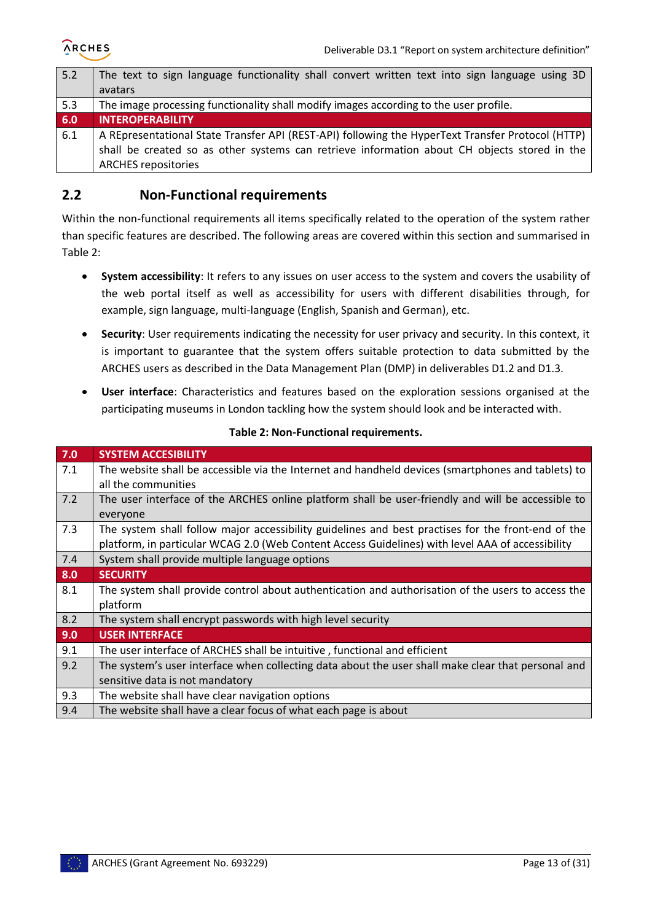| 5.2 | The text to sign language functionality shall convert written text into sign language using 3D    |
|-----|---------------------------------------------------------------------------------------------------|
|     | avatars                                                                                           |
| 5.3 | The image processing functionality shall modify images according to the user profile.             |
| 6.0 | <b>INTEROPERABILITY</b>                                                                           |
| 6.1 | A REpresentational State Transfer API (REST-API) following the HyperText Transfer Protocol (HTTP) |
|     | shall be created so as other systems can retrieve information about CH objects stored in the      |
|     | <b>ARCHES repositories</b>                                                                        |

#### <span id="page-12-0"></span>**2.2 Non-Functional requirements**

Within the non-functional requirements all items specifically related to the operation of the system rather than specific features are described. The following areas are covered within this section and summarised in [Table 2:](#page-12-1)

- **System accessibility**: It refers to any issues on user access to the system and covers the usability of the web portal itself as well as accessibility for users with different disabilities through, for example, sign language, multi-language (English, Spanish and German), etc.
- **Security**: User requirements indicating the necessity for user privacy and security. In this context, it is important to guarantee that the system offers suitable protection to data submitted by the ARCHES users as described in the Data Management Plan (DMP) in deliverables D1.2 and D1.3.
- **User interface**: Characteristics and features based on the exploration sessions organised at the participating museums in London tackling how the system should look and be interacted with.

<span id="page-12-1"></span>

| 7.0 | <b>SYSTEM ACCESIBILITY</b>                                                                         |  |
|-----|----------------------------------------------------------------------------------------------------|--|
| 7.1 | The website shall be accessible via the Internet and handheld devices (smartphones and tablets) to |  |
|     | all the communities                                                                                |  |
| 7.2 | The user interface of the ARCHES online platform shall be user-friendly and will be accessible to  |  |
|     | everyone                                                                                           |  |
| 7.3 | The system shall follow major accessibility guidelines and best practises for the front-end of the |  |
|     | platform, in particular WCAG 2.0 (Web Content Access Guidelines) with level AAA of accessibility   |  |
| 7.4 | System shall provide multiple language options                                                     |  |
| 8.0 | <b>SECURITY</b>                                                                                    |  |
| 8.1 | The system shall provide control about authentication and authorisation of the users to access the |  |
|     | platform                                                                                           |  |
| 8.2 | The system shall encrypt passwords with high level security                                        |  |
| 9.0 | <b>USER INTERFACE</b>                                                                              |  |
| 9.1 | The user interface of ARCHES shall be intuitive, functional and efficient                          |  |
| 9.2 | The system's user interface when collecting data about the user shall make clear that personal and |  |
|     | sensitive data is not mandatory                                                                    |  |
| 9.3 | The website shall have clear navigation options                                                    |  |
| 9.4 | The website shall have a clear focus of what each page is about                                    |  |

#### **Table 2: Non-Functional requirements.**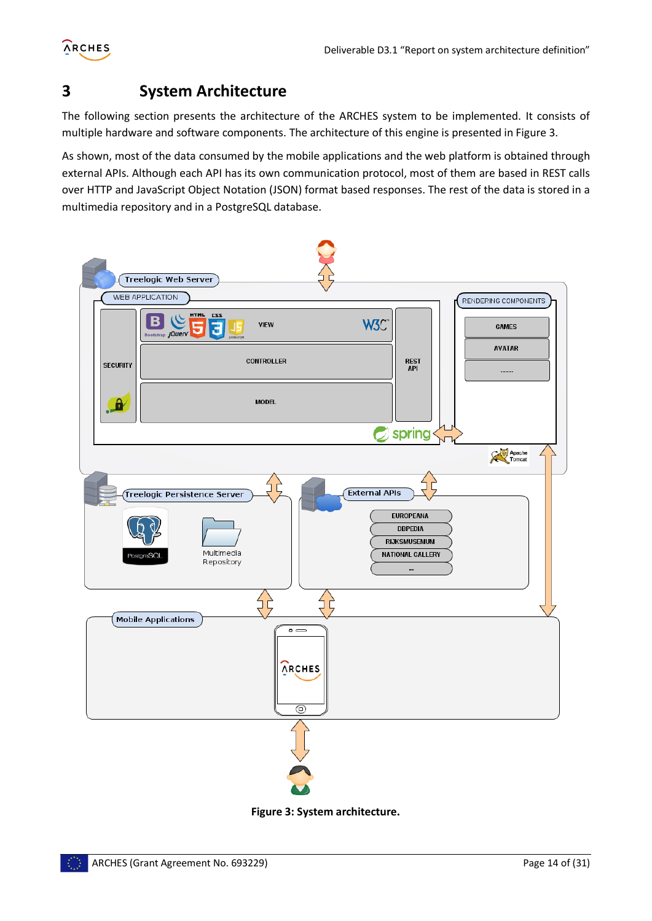

# <span id="page-13-0"></span>**3 System Architecture**

The following section presents the architecture of the ARCHES system to be implemented. It consists of multiple hardware and software components. The architecture of this engine is presented in [Figure 3](#page-13-1).

As shown, most of the data consumed by the mobile applications and the web platform is obtained through external APIs. Although each API has its own communication protocol, most of them are based in REST calls over HTTP and JavaScript Object Notation (JSON) format based responses. The rest of the data is stored in a multimedia repository and in a PostgreSQL database.



<span id="page-13-1"></span>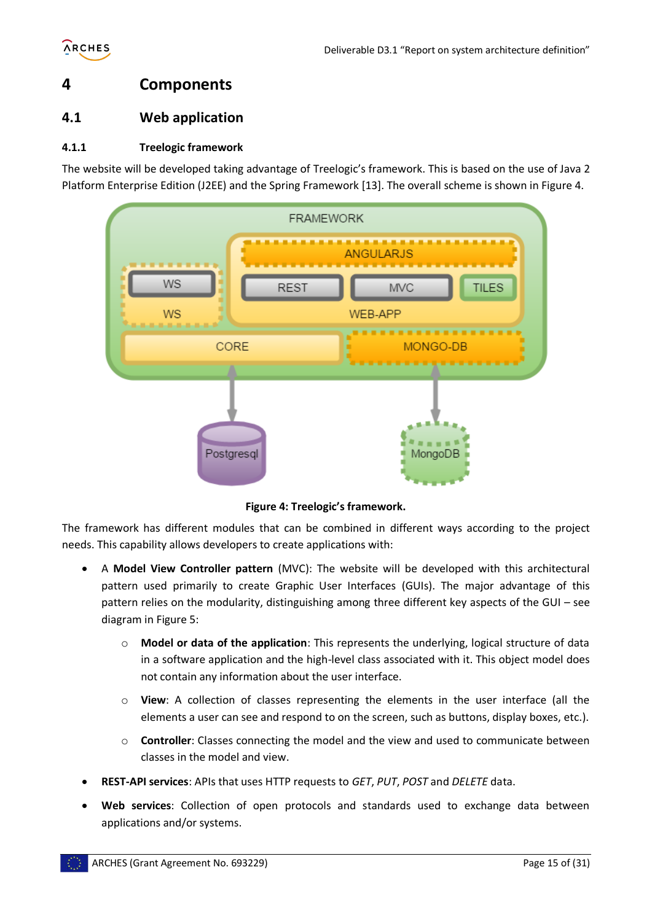

## <span id="page-14-0"></span>**4 Components**

#### <span id="page-14-1"></span>**4.1 Web application**

#### <span id="page-14-2"></span>**4.1.1 Treelogic framework**

The website will be developed taking advantage of Treelogic's framework. This is based on the use of Java 2 Platform Enterprise Edition (J2EE) and the Spring Framework [\[13\].](#page-30-1) The overall scheme is shown i[n Figure 4.](#page-14-3)



**Figure 4: Treelogic's framework.**

<span id="page-14-3"></span>The framework has different modules that can be combined in different ways according to the project needs. This capability allows developers to create applications with:

- A **Model View Controller pattern** (MVC): The website will be developed with this architectural pattern used primarily to create Graphic User Interfaces (GUIs). The major advantage of this pattern relies on the modularity, distinguishing among three different key aspects of the GUI – see diagram i[n Figure 5:](#page-15-1)
	- o **Model or data of the application**: This represents the underlying, logical structure of data in a software application and the high-level class associated with it. This object model does not contain any information about the user interface.
	- o **View**: A collection of classes representing the elements in the user interface (all the elements a user can see and respond to on the screen, such as buttons, display boxes, etc.).
	- o **Controller**: Classes connecting the model and the view and used to communicate between classes in the model and view.
- **REST-API services**: APIs that uses HTTP requests to *GET*, *PUT*, *POST* and *DELETE* data.
- **Web services**: Collection of open protocols and standards used to exchange data between applications and/or systems.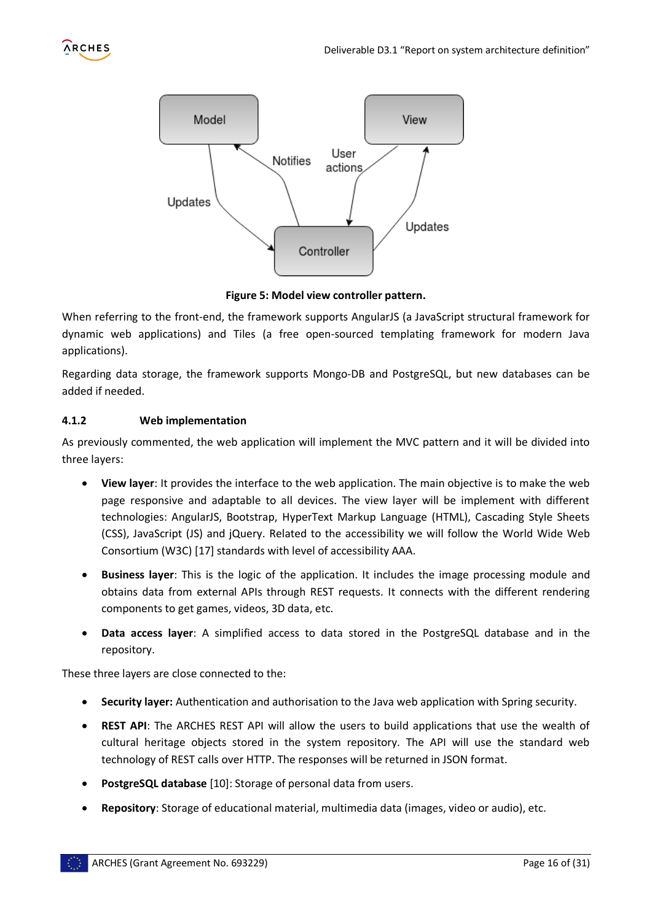



**Figure 5: Model view controller pattern.**

<span id="page-15-1"></span>When referring to the front-end, the framework supports AngularJS (a JavaScript structural framework for dynamic web applications) and Tiles (a free open-sourced templating framework for modern Java applications).

Regarding data storage, the framework supports Mongo-DB and PostgreSQL, but new databases can be added if needed.

#### <span id="page-15-0"></span>**4.1.2 Web implementation**

As previously commented, the web application will implement the MVC pattern and it will be divided into three layers:

- **View layer**: It provides the interface to the web application. The main objective is to make the web page responsive and adaptable to all devices. The view layer will be implement with different technologies: AngularJS, Bootstrap, HyperText Markup Language (HTML), Cascading Style Sheets (CSS), JavaScript (JS) and jQuery. Related to the accessibility we will follow the World Wide Web Consortium (W3C) [\[17\]](#page-30-2) standards with level of accessibility AAA.
- **Business layer**: This is the logic of the application. It includes the image processing module and obtains data from external APIs through REST requests. It connects with the different rendering components to get games, videos, 3D data, etc.
- **Data access layer**: A simplified access to data stored in the PostgreSQL database and in the repository.

These three layers are close connected to the:

- **Security layer:** Authentication and authorisation to the Java web application with Spring security.
- **REST API**: The ARCHES REST API will allow the users to build applications that use the wealth of cultural heritage objects stored in the system repository. The API will use the standard web technology of REST calls over HTTP. The responses will be returned in JSON format.
- **PostgreSQL database** [\[10\]:](#page-30-3) Storage of personal data from users.
- **Repository**: Storage of educational material, multimedia data (images, video or audio), etc.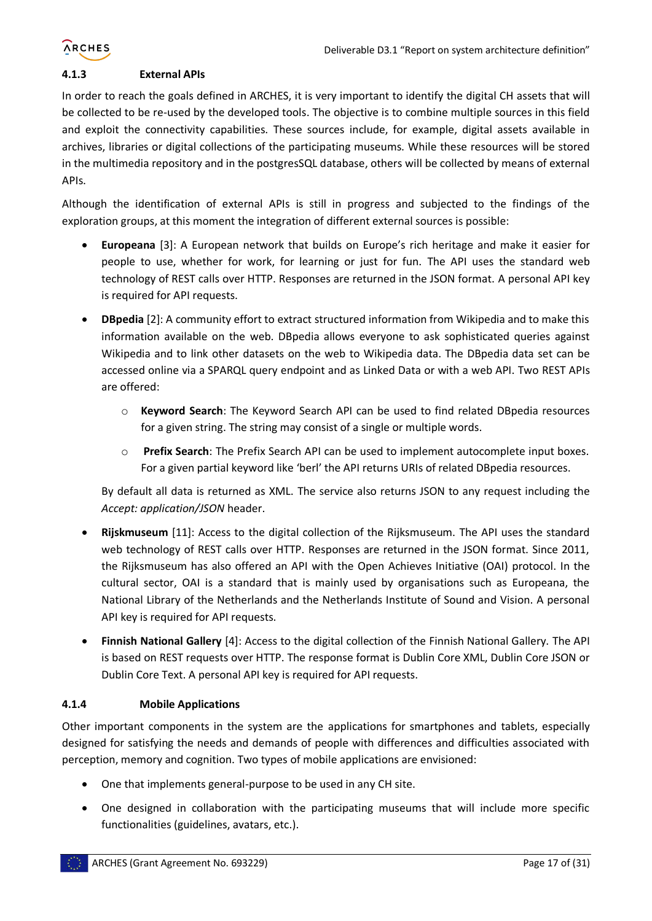

#### <span id="page-16-0"></span>**4.1.3 External APIs**

In order to reach the goals defined in ARCHES, it is very important to identify the digital CH assets that will be collected to be re-used by the developed tools. The objective is to combine multiple sources in this field and exploit the connectivity capabilities. These sources include, for example, digital assets available in archives, libraries or digital collections of the participating museums. While these resources will be stored in the multimedia repository and in the postgresSQL database, others will be collected by means of external APIs.

Although the identification of external APIs is still in progress and subjected to the findings of the exploration groups, at this moment the integration of different external sources is possible:

- **Europeana** [\[3\]:](#page-30-4) A European network that builds on Europe's rich heritage and make it easier for people to use, whether for work, for learning or just for fun. The API uses the standard web technology of REST calls over HTTP. Responses are returned in the JSON format. A personal API key is required for API requests.
- **DBpedia** [\[2\]:](#page-30-5) A community effort to extract structured information from Wikipedia and to make this information available on the web. DBpedia allows everyone to ask sophisticated queries against Wikipedia and to link other datasets on the web to Wikipedia data. The DBpedia data set can be accessed online via a SPARQL query endpoint and as Linked Data or with a web API. Two REST APIs are offered:
	- o **Keyword Search**: The Keyword Search API can be used to find related DBpedia resources for a given string. The string may consist of a single or multiple words.
	- o **Prefix Search**: The Prefix Search API can be used to implement autocomplete input boxes. For a given partial keyword like 'berl' the API returns URIs of related DBpedia resources.

By default all data is returned as XML. The service also returns JSON to any request including the *Accept: application/JSON* header.

- **Rijskmuseum** [\[11\]:](#page-30-6) Access to the digital collection of the Rijksmuseum. The API uses the standard web technology of REST calls over HTTP. Responses are returned in the JSON format. Since 2011, the Rijksmuseum has also offered an API with the Open Achieves Initiative (OAI) protocol. In the cultural sector, OAI is a standard that is mainly used by organisations such as Europeana, the National Library of the Netherlands and the Netherlands Institute of Sound and Vision. A personal API key is required for API requests.
- **Finnish National Gallery** [\[4\]:](#page-30-7) Access to the digital collection of the Finnish National Gallery. The API is based on REST requests over HTTP. The response format is Dublin Core XML, Dublin Core JSON or Dublin Core Text. A personal API key is required for API requests.

#### <span id="page-16-1"></span>**4.1.4 Mobile Applications**

Other important components in the system are the applications for smartphones and tablets, especially designed for satisfying the needs and demands of people with differences and difficulties associated with perception, memory and cognition. Two types of mobile applications are envisioned:

- One that implements general-purpose to be used in any CH site.
- One designed in collaboration with the participating museums that will include more specific functionalities (guidelines, avatars, etc.).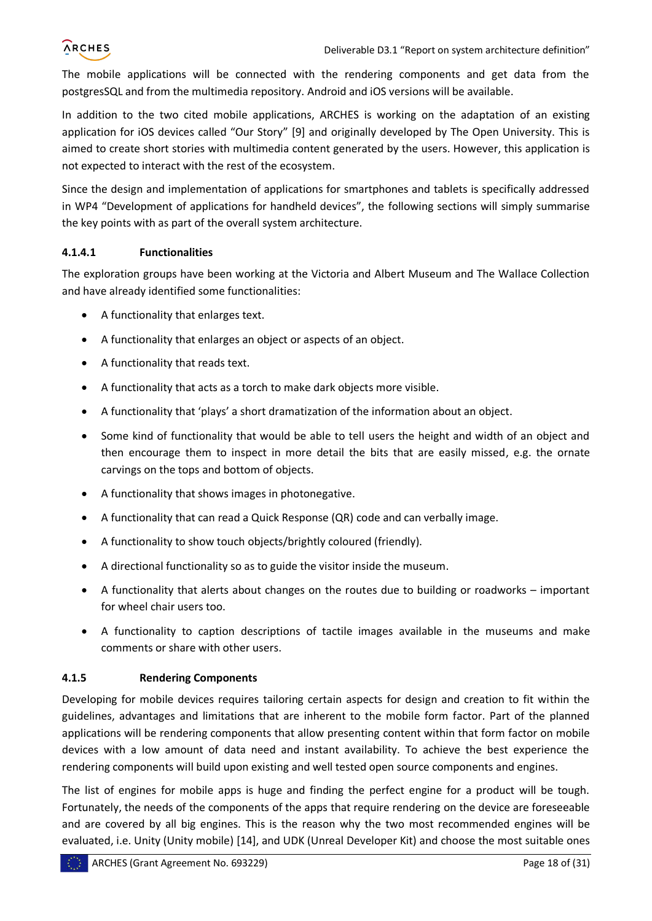The mobile applications will be connected with the rendering components and get data from the postgresSQL and from the multimedia repository. Android and iOS versions will be available.

In addition to the two cited mobile applications, ARCHES is working on the adaptation of an existing application for iOS devices called "Our Story" [\[9\]](#page-30-8) and originally developed by The Open University. This is aimed to create short stories with multimedia content generated by the users. However, this application is not expected to interact with the rest of the ecosystem.

Since the design and implementation of applications for smartphones and tablets is specifically addressed in WP4 "Development of applications for handheld devices", the following sections will simply summarise the key points with as part of the overall system architecture.

#### **4.1.4.1 Functionalities**

The exploration groups have been working at the Victoria and Albert Museum and The Wallace Collection and have already identified some functionalities:

- A functionality that enlarges text.
- A functionality that enlarges an object or aspects of an object.
- A functionality that reads text.
- A functionality that acts as a torch to make dark objects more visible.
- A functionality that 'plays' a short dramatization of the information about an object.
- Some kind of functionality that would be able to tell users the height and width of an object and then encourage them to inspect in more detail the bits that are easily missed, e.g. the ornate carvings on the tops and bottom of objects.
- A functionality that shows images in photonegative.
- A functionality that can read a Quick Response (QR) code and can verbally image.
- A functionality to show touch objects/brightly coloured (friendly).
- A directional functionality so as to guide the visitor inside the museum.
- A functionality that alerts about changes on the routes due to building or roadworks important for wheel chair users too.
- A functionality to caption descriptions of tactile images available in the museums and make comments or share with other users.

#### <span id="page-17-0"></span>**4.1.5 Rendering Components**

Developing for mobile devices requires tailoring certain aspects for design and creation to fit within the guidelines, advantages and limitations that are inherent to the mobile form factor. Part of the planned applications will be rendering components that allow presenting content within that form factor on mobile devices with a low amount of data need and instant availability. To achieve the best experience the rendering components will build upon existing and well tested open source components and engines.

The list of engines for mobile apps is huge and finding the perfect engine for a product will be tough. Fortunately, the needs of the components of the apps that require rendering on the device are foreseeable and are covered by all big engines. This is the reason why the two most recommended engines will be evaluated, i.e. Unity (Unity mobile) [\[14\],](#page-30-9) and UDK (Unreal Developer Kit) and choose the most suitable ones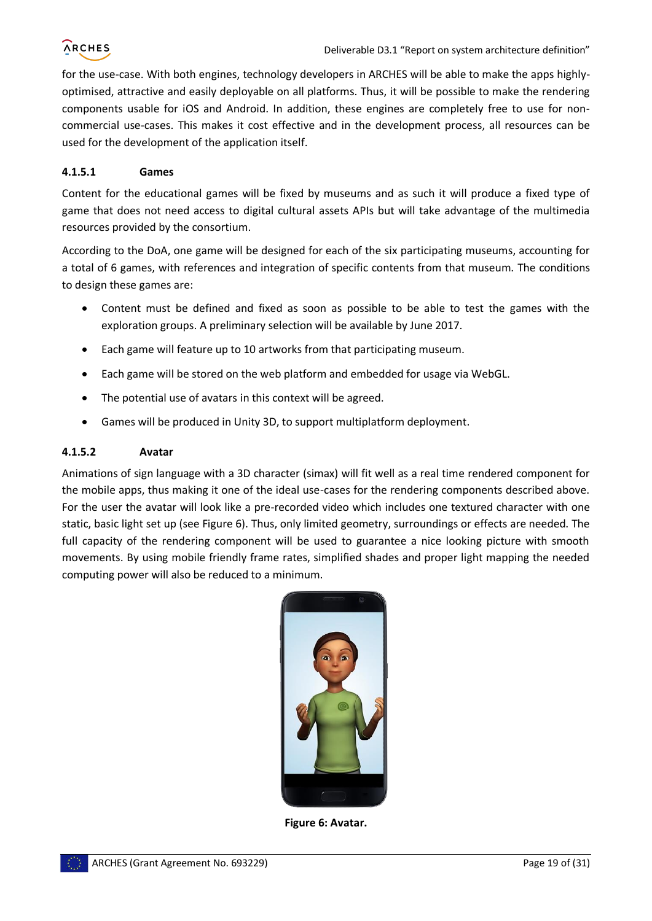for the use-case. With both engines, technology developers in ARCHES will be able to make the apps highlyoptimised, attractive and easily deployable on all platforms. Thus, it will be possible to make the rendering components usable for iOS and Android. In addition, these engines are completely free to use for noncommercial use-cases. This makes it cost effective and in the development process, all resources can be used for the development of the application itself.

#### **4.1.5.1 Games**

Content for the educational games will be fixed by museums and as such it will produce a fixed type of game that does not need access to digital cultural assets APIs but will take advantage of the multimedia resources provided by the consortium.

According to the DoA, one game will be designed for each of the six participating museums, accounting for a total of 6 games, with references and integration of specific contents from that museum. The conditions to design these games are:

- Content must be defined and fixed as soon as possible to be able to test the games with the exploration groups. A preliminary selection will be available by June 2017.
- Each game will feature up to 10 artworks from that participating museum.
- Each game will be stored on the web platform and embedded for usage via WebGL.
- The potential use of avatars in this context will be agreed.
- Games will be produced in Unity 3D, to support multiplatform deployment.

#### **4.1.5.2 Avatar**

Animations of sign language with a 3D character (simax) will fit well as a real time rendered component for the mobile apps, thus making it one of the ideal use-cases for the rendering components described above. For the user the avatar will look like a pre-recorded video which includes one textured character with one static, basic light set up (se[e Figure 6\)](#page-18-0). Thus, only limited geometry, surroundings or effects are needed. The full capacity of the rendering component will be used to guarantee a nice looking picture with smooth movements. By using mobile friendly frame rates, simplified shades and proper light mapping the needed computing power will also be reduced to a minimum.

<span id="page-18-0"></span>

**Figure 6: Avatar.**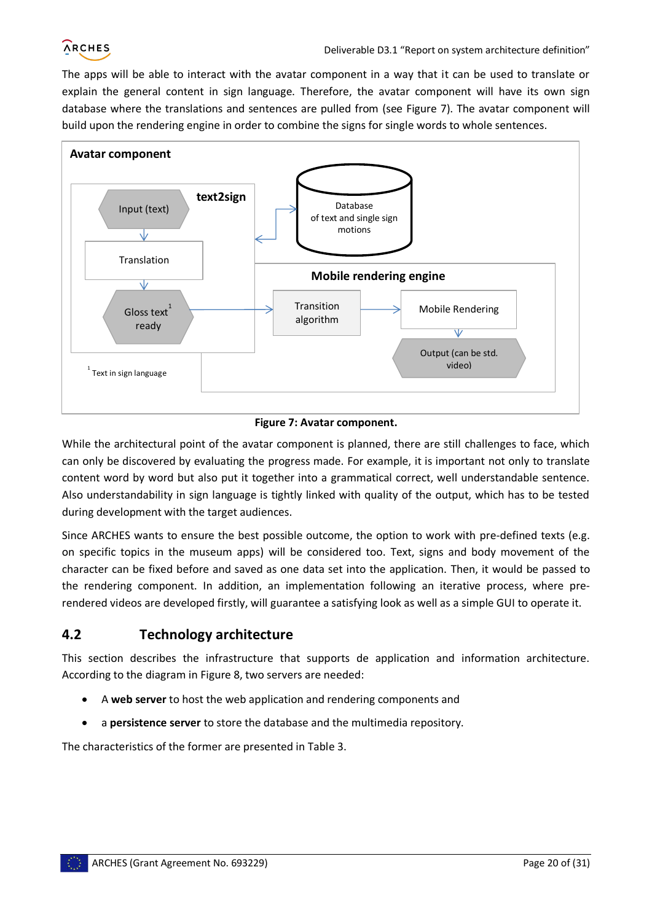

The apps will be able to interact with the avatar component in a way that it can be used to translate or explain the general content in sign language. Therefore, the avatar component will have its own sign database where the translations and sentences are pulled from (see [Figure 7\)](#page-19-1). The avatar component will build upon the rendering engine in order to combine the signs for single words to whole sentences.



#### **Figure 7: Avatar component.**

<span id="page-19-1"></span>While the architectural point of the avatar component is planned, there are still challenges to face, which can only be discovered by evaluating the progress made. For example, it is important not only to translate content word by word but also put it together into a grammatical correct, well understandable sentence. Also understandability in sign language is tightly linked with quality of the output, which has to be tested during development with the target audiences.

Since ARCHES wants to ensure the best possible outcome, the option to work with pre-defined texts (e.g. on specific topics in the museum apps) will be considered too. Text, signs and body movement of the character can be fixed before and saved as one data set into the application. Then, it would be passed to the rendering component. In addition, an implementation following an iterative process, where prerendered videos are developed firstly, will guarantee a satisfying look as well as a simple GUI to operate it.

#### <span id="page-19-0"></span>**4.2 Technology architecture**

This section describes the infrastructure that supports de application and information architecture. According to the diagram in [Figure 8,](#page-20-2) two servers are needed:

- A **web server** to host the web application and rendering components and
- a **persistence server** to store the database and the multimedia repository.

The characteristics of the former are presented in [Table 3.](#page-20-3)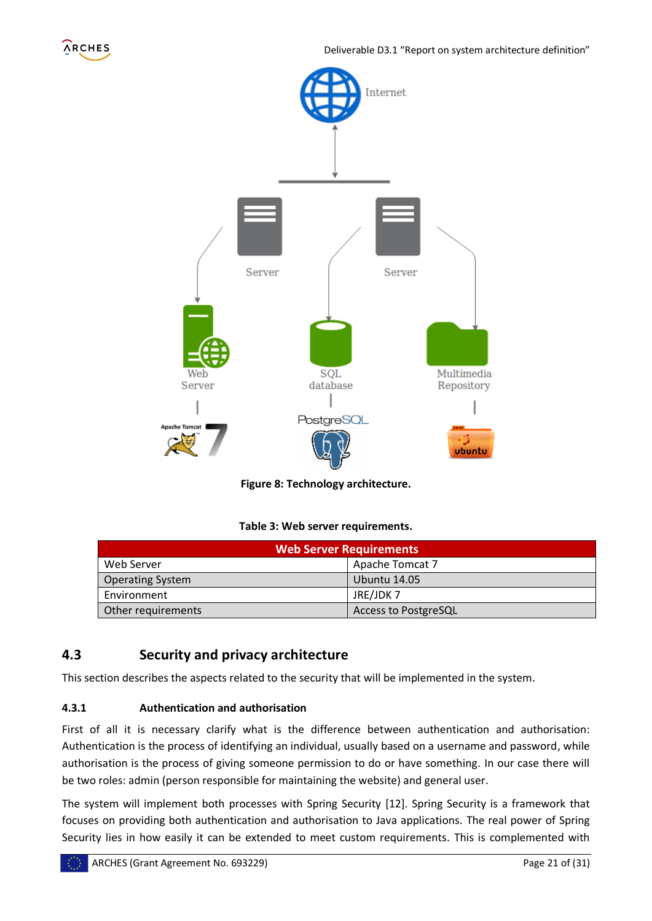



**Figure 8: Technology architecture.**

#### **Table 3: Web server requirements.**

<span id="page-20-3"></span><span id="page-20-2"></span>

| <b>Web Server Requirements</b> |                             |  |
|--------------------------------|-----------------------------|--|
| Web Server                     | Apache Tomcat 7             |  |
| <b>Operating System</b>        | <b>Ubuntu 14.05</b>         |  |
| Environment                    | JRE/JDK7                    |  |
| Other requirements             | <b>Access to PostgreSQL</b> |  |

#### <span id="page-20-0"></span>**4.3 Security and privacy architecture**

This section describes the aspects related to the security that will be implemented in the system.

#### <span id="page-20-1"></span>**4.3.1 Authentication and authorisation**

First of all it is necessary clarify what is the difference between authentication and authorisation: Authentication is the process of identifying an individual, usually based on a username and password, while authorisation is the process of giving someone permission to do or have something. In our case there will be two roles: admin (person responsible for maintaining the website) and general user.

The system will implement both processes with Spring Security [\[12\].](#page-30-10) Spring Security is a framework that focuses on providing both authentication and authorisation to Java applications. The real power of Spring Security lies in how easily it can be extended to meet custom requirements. This is complemented with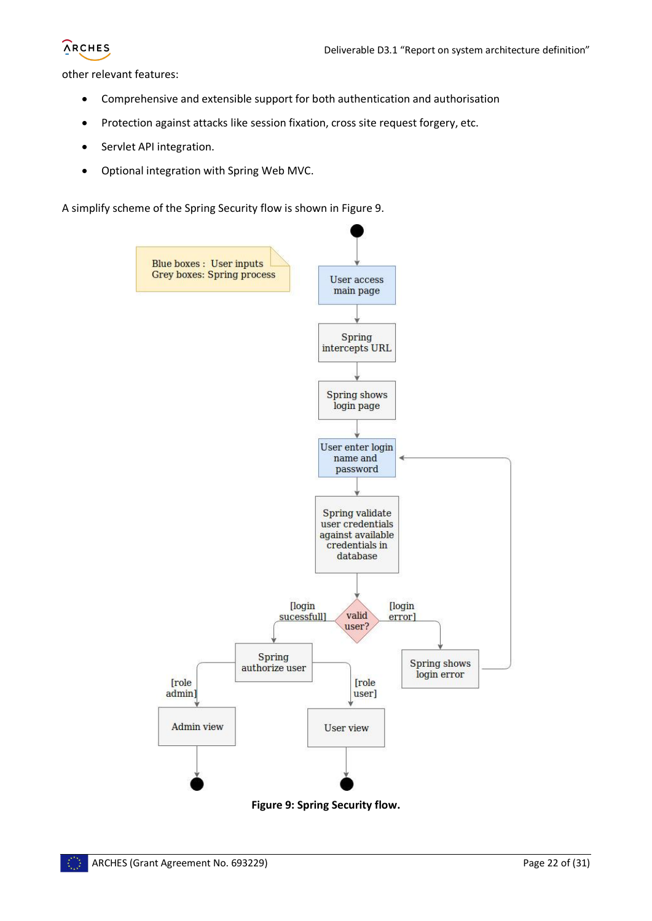

other relevant features:

- Comprehensive and extensible support for both authentication and authorisation
- Protection against attacks like session fixation, cross site request forgery, etc.
- Servlet API integration.
- Optional integration with Spring Web MVC.

A simplify scheme of the Spring Security flow is shown in [Figure 9.](#page-21-0)



<span id="page-21-0"></span>**Figure 9: Spring Security flow.**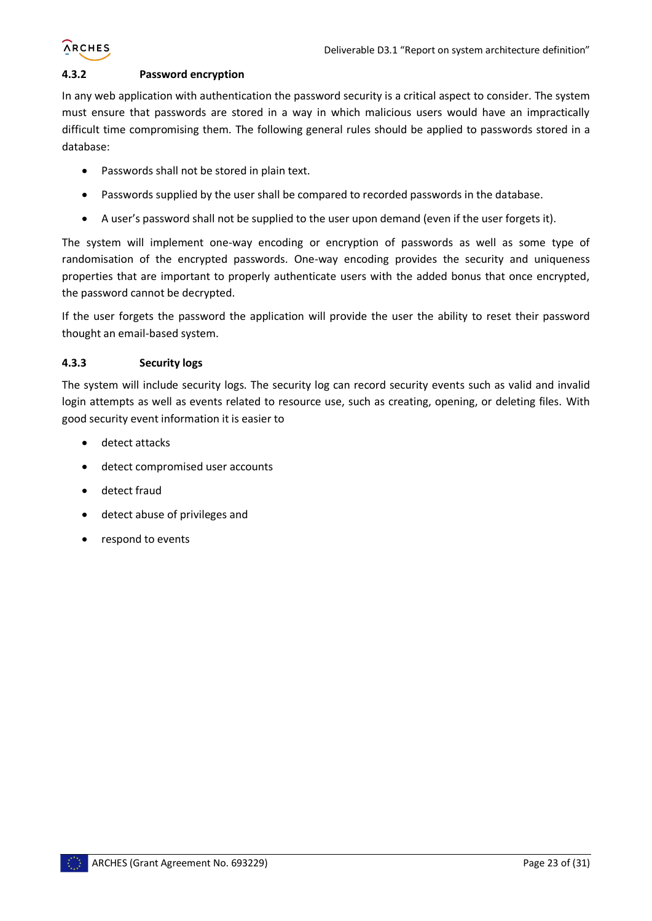# **ARCHES**

#### <span id="page-22-0"></span>**4.3.2 Password encryption**

In any web application with authentication the password security is a critical aspect to consider. The system must ensure that passwords are stored in a way in which malicious users would have an impractically difficult time compromising them. The following general rules should be applied to passwords stored in a database:

- Passwords shall not be stored in plain text.
- Passwords supplied by the user shall be compared to recorded passwords in the database.
- A user's password shall not be supplied to the user upon demand (even if the user forgets it).

The system will implement one-way encoding or encryption of passwords as well as some type of randomisation of the encrypted passwords. One-way encoding provides the security and uniqueness properties that are important to properly authenticate users with the added bonus that once encrypted, the password cannot be decrypted.

If the user forgets the password the application will provide the user the ability to reset their password thought an email-based system.

#### <span id="page-22-1"></span>**4.3.3 Security logs**

The system will include security logs. The security log can record security events such as valid and invalid login attempts as well as events related to resource use, such as creating, opening, or deleting files. With good security event information it is easier to

- detect attacks
- detect compromised user accounts
- detect fraud
- detect abuse of privileges and
- respond to events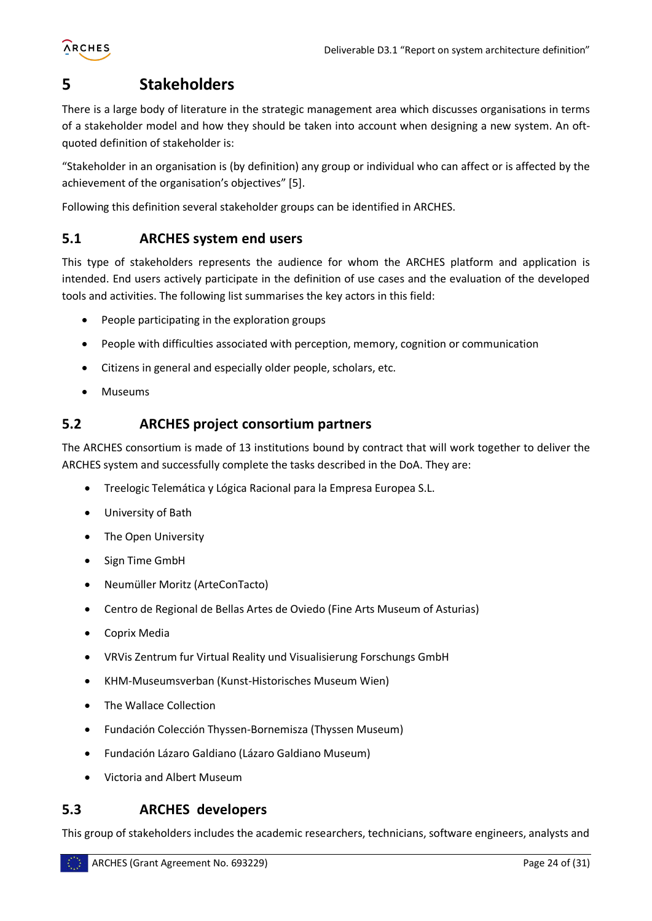

## <span id="page-23-0"></span>**5 Stakeholders**

There is a large body of literature in the strategic management area which discusses organisations in terms of a stakeholder model and how they should be taken into account when designing a new system. An oftquoted definition of stakeholder is:

"Stakeholder in an organisation is (by definition) any group or individual who can affect or is affected by the achievement of the organisation's objectives" [\[5\].](#page-30-11)

Following this definition several stakeholder groups can be identified in ARCHES.

#### <span id="page-23-1"></span>**5.1 ARCHES system end users**

This type of stakeholders represents the audience for whom the ARCHES platform and application is intended. End users actively participate in the definition of use cases and the evaluation of the developed tools and activities. The following list summarises the key actors in this field:

- People participating in the exploration groups
- People with difficulties associated with perception, memory, cognition or communication
- Citizens in general and especially older people, scholars, etc.
- Museums

#### <span id="page-23-2"></span>**5.2 ARCHES project consortium partners**

The ARCHES consortium is made of 13 institutions bound by contract that will work together to deliver the ARCHES system and successfully complete the tasks described in the DoA. They are:

- Treelogic Telemática y Lógica Racional para la Empresa Europea S.L.
- University of Bath
- The Open University
- Sign Time GmbH
- Neumüller Moritz (ArteConTacto)
- Centro de Regional de Bellas Artes de Oviedo (Fine Arts Museum of Asturias)
- Coprix Media
- VRVis Zentrum fur Virtual Reality und Visualisierung Forschungs GmbH
- KHM-Museumsverban (Kunst-Historisches Museum Wien)
- The Wallace Collection
- Fundación Colección Thyssen-Bornemisza (Thyssen Museum)
- Fundación Lázaro Galdiano (Lázaro Galdiano Museum)
- Victoria and Albert Museum

#### <span id="page-23-3"></span>**5.3 ARCHES developers**

This group of stakeholders includes the academic researchers, technicians, software engineers, analysts and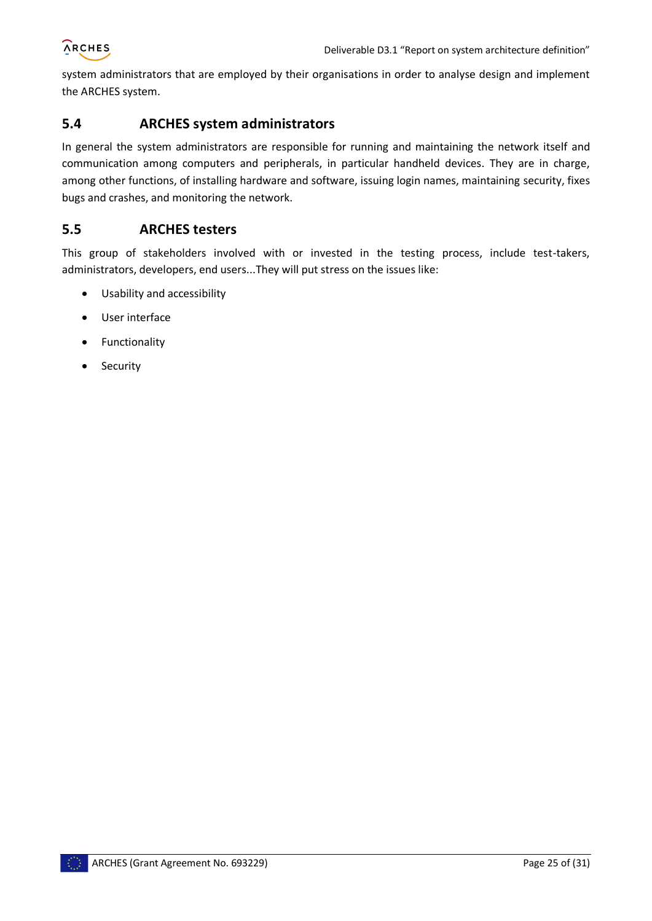

system administrators that are employed by their organisations in order to analyse design and implement the ARCHES system.

#### <span id="page-24-0"></span>**5.4 ARCHES system administrators**

In general the system administrators are responsible for running and maintaining the network itself and communication among computers and peripherals, in particular handheld devices. They are in charge, among other functions, of installing hardware and software, issuing login names, maintaining security, fixes bugs and crashes, and monitoring the network.

#### <span id="page-24-1"></span>**5.5 ARCHES testers**

This group of stakeholders involved with or invested in the testing process, include test-takers, administrators, developers, end users...They will put stress on the issues like:

- Usability and accessibility
- User interface
- **•** Functionality
- Security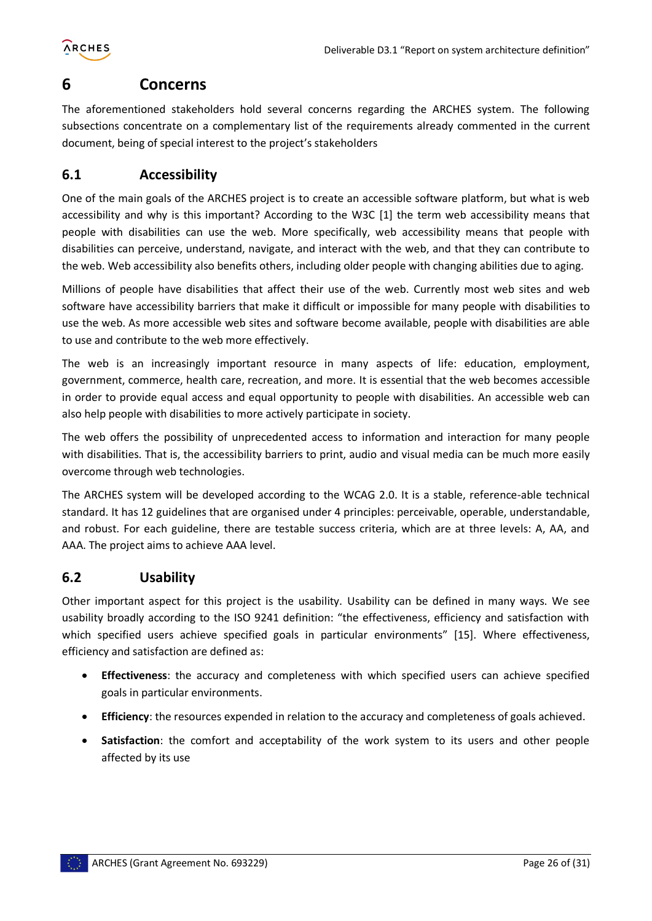

## <span id="page-25-0"></span>**6 Concerns**

The aforementioned stakeholders hold several concerns regarding the ARCHES system. The following subsections concentrate on a complementary list of the requirements already commented in the current document, being of special interest to the project's stakeholders

#### <span id="page-25-1"></span>**6.1 Accessibility**

One of the main goals of the ARCHES project is to create an accessible software platform, but what is web accessibility and why is this important? According to the W3C [\[1\]](#page-30-12) the term web accessibility means that people with disabilities can use the web. More specifically, web accessibility means that people with disabilities can perceive, understand, navigate, and interact with the web, and that they can contribute to the web. Web accessibility also benefits others, including older people with changing abilities due to aging.

Millions of people have disabilities that affect their use of the web. Currently most web sites and web software have accessibility barriers that make it difficult or impossible for many people with disabilities to use the web. As more accessible web sites and software become available, people with disabilities are able to use and contribute to the web more effectively.

The web is an increasingly important resource in many aspects of life: education, employment, government, commerce, health care, recreation, and more. It is essential that the web becomes accessible in order to provide equal access and equal opportunity to people with disabilities. An accessible web can also help people with disabilities to more actively participate in society.

The web offers the possibility of unprecedented access to information and interaction for many people with disabilities. That is, the accessibility barriers to print, audio and visual media can be much more easily overcome through web technologies.

The ARCHES system will be developed according to the WCAG 2.0. It is a stable, reference-able technical standard. It has 12 guidelines that are organised under 4 principles: perceivable, operable, understandable, and robust. For each guideline, there are testable success criteria, which are at three levels: A, AA, and AAA. The project aims to achieve AAA level.

#### <span id="page-25-2"></span>**6.2 Usability**

Other important aspect for this project is the usability. Usability can be defined in many ways. We see usability broadly according to the ISO 9241 definition: "the effectiveness, efficiency and satisfaction with which specified users achieve specified goals in particular environments" [\[15\].](#page-30-13) Where effectiveness, efficiency and satisfaction are defined as:

- **Effectiveness**: the accuracy and completeness with which specified users can achieve specified goals in particular environments.
- **Efficiency**: the resources expended in relation to the accuracy and completeness of goals achieved.
- **Satisfaction**: the comfort and acceptability of the work system to its users and other people affected by its use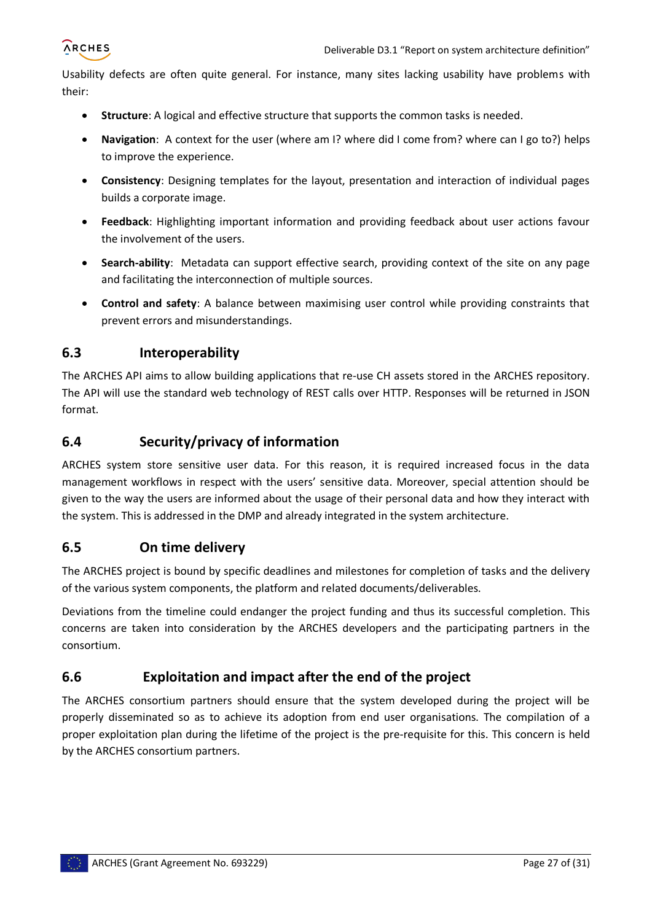

Usability defects are often quite general. For instance, many sites lacking usability have problems with their:

- **Structure**: A logical and effective structure that supports the common tasks is needed.
- **Navigation**: A context for the user (where am I? where did I come from? where can I go to?) helps to improve the experience.
- **Consistency**: Designing templates for the layout, presentation and interaction of individual pages builds a corporate image.
- **Feedback**: Highlighting important information and providing feedback about user actions favour the involvement of the users.
- **Search-ability**: Metadata can support effective search, providing context of the site on any page and facilitating the interconnection of multiple sources.
- **Control and safety**: A balance between maximising user control while providing constraints that prevent errors and misunderstandings.

#### <span id="page-26-0"></span>**6.3 Interoperability**

The ARCHES API aims to allow building applications that re-use CH assets stored in the ARCHES repository. The API will use the standard web technology of REST calls over HTTP. Responses will be returned in JSON format.

#### <span id="page-26-1"></span>**6.4 Security/privacy of information**

ARCHES system store sensitive user data. For this reason, it is required increased focus in the data management workflows in respect with the users' sensitive data. Moreover, special attention should be given to the way the users are informed about the usage of their personal data and how they interact with the system. This is addressed in the DMP and already integrated in the system architecture.

#### <span id="page-26-2"></span>**6.5 On time delivery**

The ARCHES project is bound by specific deadlines and milestones for completion of tasks and the delivery of the various system components, the platform and related documents/deliverables.

Deviations from the timeline could endanger the project funding and thus its successful completion. This concerns are taken into consideration by the ARCHES developers and the participating partners in the consortium.

#### <span id="page-26-3"></span>**6.6 Exploitation and impact after the end of the project**

The ARCHES consortium partners should ensure that the system developed during the project will be properly disseminated so as to achieve its adoption from end user organisations. The compilation of a proper exploitation plan during the lifetime of the project is the pre-requisite for this. This concern is held by the ARCHES consortium partners.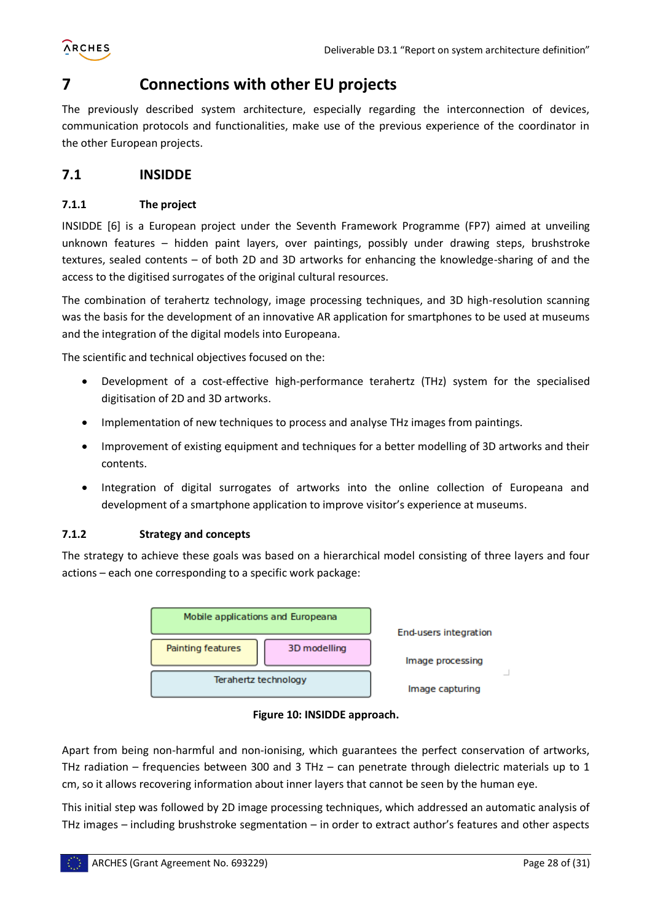

### <span id="page-27-0"></span>**7 Connections with other EU projects**

The previously described system architecture, especially regarding the interconnection of devices, communication protocols and functionalities, make use of the previous experience of the coordinator in the other European projects.

#### <span id="page-27-1"></span>**7.1 INSIDDE**

#### <span id="page-27-2"></span>**7.1.1 The project**

INSIDDE [\[6\]](#page-30-14) is a European project under the Seventh Framework Programme (FP7) aimed at unveiling unknown features – hidden paint layers, over paintings, possibly under drawing steps, brushstroke textures, sealed contents – of both 2D and 3D artworks for enhancing the knowledge-sharing of and the access to the digitised surrogates of the original cultural resources.

The combination of terahertz technology, image processing techniques, and 3D high-resolution scanning was the basis for the development of an innovative AR application for smartphones to be used at museums and the integration of the digital models into Europeana.

The scientific and technical objectives focused on the:

- Development of a cost-effective high-performance terahertz (THz) system for the specialised digitisation of 2D and 3D artworks.
- Implementation of new techniques to process and analyse THz images from paintings.
- Improvement of existing equipment and techniques for a better modelling of 3D artworks and their contents.
- Integration of digital surrogates of artworks into the online collection of Europeana and development of a smartphone application to improve visitor's experience at museums.

#### <span id="page-27-3"></span>**7.1.2 Strategy and concepts**

The strategy to achieve these goals was based on a hierarchical model consisting of three layers and four actions – each one corresponding to a specific work package:





<span id="page-27-4"></span>Apart from being non-harmful and non-ionising, which guarantees the perfect conservation of artworks, THz radiation – frequencies between 300 and 3 THz – can penetrate through dielectric materials up to 1 cm, so it allows recovering information about inner layers that cannot be seen by the human eye.

This initial step was followed by 2D image processing techniques, which addressed an automatic analysis of THz images – including brushstroke segmentation – in order to extract author's features and other aspects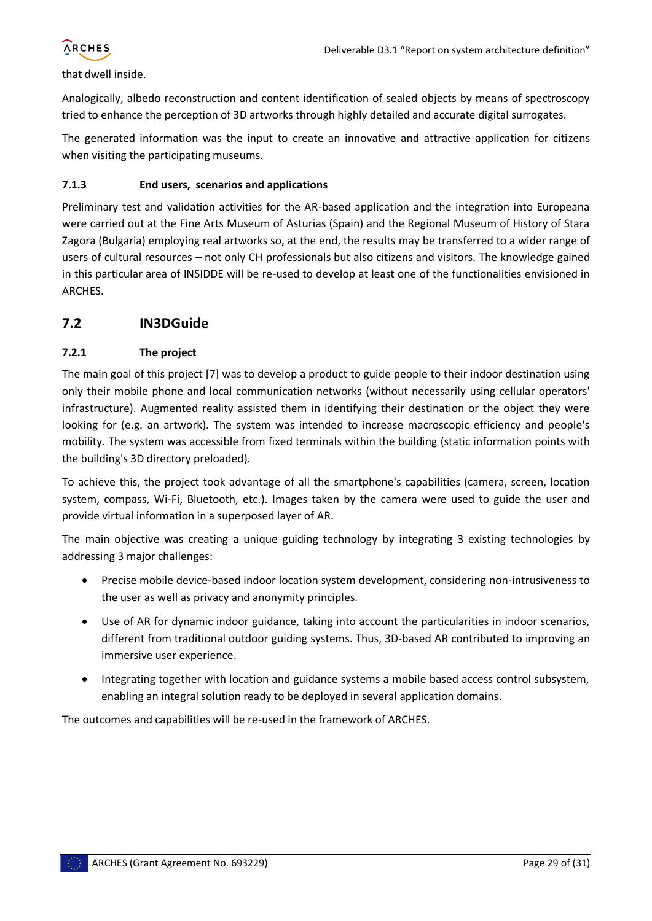#### that dwell inside.

Analogically, albedo reconstruction and content identification of sealed objects by means of spectroscopy tried to enhance the perception of 3D artworks through highly detailed and accurate digital surrogates.

The generated information was the input to create an innovative and attractive application for citizens when visiting the participating museums.

#### <span id="page-28-0"></span>**7.1.3 End users, scenarios and applications**

Preliminary test and validation activities for the AR-based application and the integration into Europeana were carried out at the Fine Arts Museum of Asturias (Spain) and the Regional Museum of History of Stara Zagora (Bulgaria) employing real artworks so, at the end, the results may be transferred to a wider range of users of cultural resources – not only CH professionals but also citizens and visitors. The knowledge gained in this particular area of INSIDDE will be re-used to develop at least one of the functionalities envisioned in ARCHES.

#### <span id="page-28-1"></span>**7.2 IN3DGuide**

#### <span id="page-28-2"></span>**7.2.1 The project**

The main goal of this project [\[7\]](#page-30-15) was to develop a product to guide people to their indoor destination using only their mobile phone and local communication networks (without necessarily using cellular operators' infrastructure). Augmented reality assisted them in identifying their destination or the object they were looking for (e.g. an artwork). The system was intended to increase macroscopic efficiency and people's mobility. The system was accessible from fixed terminals within the building (static information points with the building's 3D directory preloaded).

To achieve this, the project took advantage of all the smartphone's capabilities (camera, screen, location system, compass, Wi-Fi, Bluetooth, etc.). Images taken by the camera were used to guide the user and provide virtual information in a superposed layer of AR.

The main objective was creating a unique guiding technology by integrating 3 existing technologies by addressing 3 major challenges:

- Precise mobile device-based indoor location system development, considering non-intrusiveness to the user as well as privacy and anonymity principles.
- Use of AR for dynamic indoor guidance, taking into account the particularities in indoor scenarios, different from traditional outdoor guiding systems. Thus, 3D-based AR contributed to improving an immersive user experience.
- Integrating together with location and guidance systems a mobile based access control subsystem, enabling an integral solution ready to be deployed in several application domains.

The outcomes and capabilities will be re-used in the framework of ARCHES.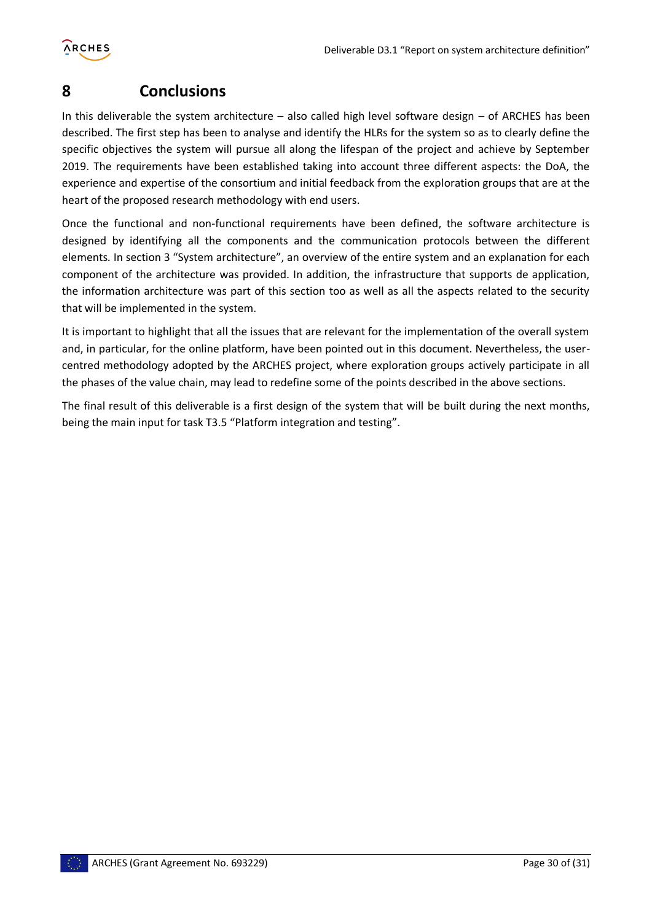

# <span id="page-29-0"></span>**8 Conclusions**

In this deliverable the system architecture – also called high level software design – of ARCHES has been described. The first step has been to analyse and identify the HLRs for the system so as to clearly define the specific objectives the system will pursue all along the lifespan of the project and achieve by September 2019. The requirements have been established taking into account three different aspects: the DoA, the experience and expertise of the consortium and initial feedback from the exploration groups that are at the heart of the proposed research methodology with end users.

Once the functional and non-functional requirements have been defined, the software architecture is designed by identifying all the components and the communication protocols between the different elements. In section 3 "System architecture", an overview of the entire system and an explanation for each component of the architecture was provided. In addition, the infrastructure that supports de application, the information architecture was part of this section too as well as all the aspects related to the security that will be implemented in the system.

It is important to highlight that all the issues that are relevant for the implementation of the overall system and, in particular, for the online platform, have been pointed out in this document. Nevertheless, the usercentred methodology adopted by the ARCHES project, where exploration groups actively participate in all the phases of the value chain, may lead to redefine some of the points described in the above sections.

The final result of this deliverable is a first design of the system that will be built during the next months, being the main input for task T3.5 "Platform integration and testing".